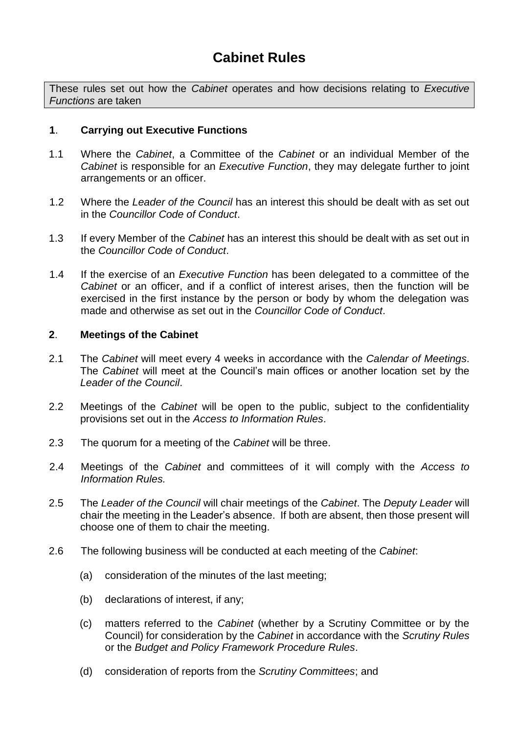These rules set out how the *Cabinet* operates and how decisions relating to *Executive Functions* are taken

## **1**. **Carrying out Executive Functions**

- 1.1 Where the *Cabinet*, a Committee of the *Cabinet* or an individual Member of the *Cabinet* is responsible for an *Executive Function*, they may delegate further to joint arrangements or an officer.
- 1.2 Where the *Leader of the Council* has an interest this should be dealt with as set out in the *Councillor Code of Conduct*.
- 1.3 If every Member of the *Cabinet* has an interest this should be dealt with as set out in the *Councillor Code of Conduct*.
- 1.4 If the exercise of an *Executive Function* has been delegated to a committee of the *Cabinet* or an officer, and if a conflict of interest arises, then the function will be exercised in the first instance by the person or body by whom the delegation was made and otherwise as set out in the *Councillor Code of Conduct*.

## **2**. **Meetings of the Cabinet**

- 2.1 The *Cabinet* will meet every 4 weeks in accordance with the *Calendar of Meetings*. The *Cabinet* will meet at the Council's main offices or another location set by the *Leader of the Council*.
- 2.2 Meetings of the *Cabinet* will be open to the public, subject to the confidentiality provisions set out in the *Access to Information Rules*.
- 2.3 The quorum for a meeting of the *Cabinet* will be three.
- 2.4 Meetings of the *Cabinet* and committees of it will comply with the *Access to Information Rules.*
- 2.5 The *Leader of the Council* will chair meetings of the *Cabinet*. The *Deputy Leader* will chair the meeting in the Leader's absence. If both are absent, then those present will choose one of them to chair the meeting.
- 2.6 The following business will be conducted at each meeting of the *Cabinet*:
	- (a) consideration of the minutes of the last meeting;
	- (b) declarations of interest, if any;
	- (c) matters referred to the *Cabinet* (whether by a Scrutiny Committee or by the Council) for consideration by the *Cabinet* in accordance with the *Scrutiny Rules* or the *Budget and Policy Framework Procedure Rules*.
	- (d) consideration of reports from the *Scrutiny Committees*; and